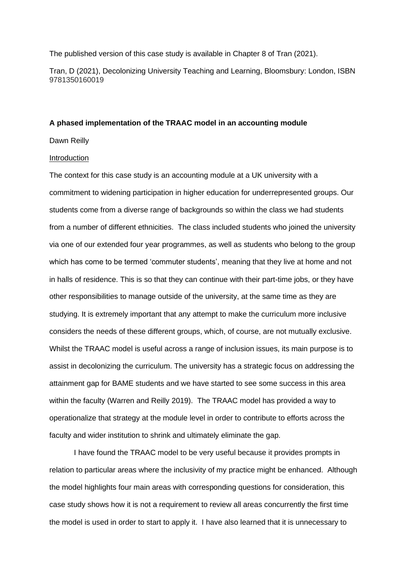The published version of this case study is available in Chapter 8 of Tran (2021).

Tran, D (2021), Decolonizing University Teaching and Learning, Bloomsbury: London, ISBN 9781350160019

# **A phased implementation of the TRAAC model in an accounting module**

Dawn Reilly

#### Introduction

The context for this case study is an accounting module at a UK university with a commitment to widening participation in higher education for underrepresented groups. Our students come from a diverse range of backgrounds so within the class we had students from a number of different ethnicities. The class included students who joined the university via one of our extended four year programmes, as well as students who belong to the group which has come to be termed 'commuter students', meaning that they live at home and not in halls of residence. This is so that they can continue with their part-time jobs, or they have other responsibilities to manage outside of the university, at the same time as they are studying. It is extremely important that any attempt to make the curriculum more inclusive considers the needs of these different groups, which, of course, are not mutually exclusive. Whilst the TRAAC model is useful across a range of inclusion issues, its main purpose is to assist in decolonizing the curriculum. The university has a strategic focus on addressing the attainment gap for BAME students and we have started to see some success in this area within the faculty (Warren and Reilly 2019). The TRAAC model has provided a way to operationalize that strategy at the module level in order to contribute to efforts across the faculty and wider institution to shrink and ultimately eliminate the gap.

I have found the TRAAC model to be very useful because it provides prompts in relation to particular areas where the inclusivity of my practice might be enhanced. Although the model highlights four main areas with corresponding questions for consideration, this case study shows how it is not a requirement to review all areas concurrently the first time the model is used in order to start to apply it. I have also learned that it is unnecessary to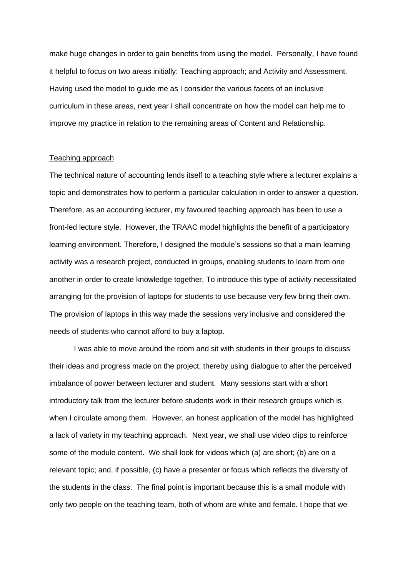make huge changes in order to gain benefits from using the model. Personally, I have found it helpful to focus on two areas initially: Teaching approach; and Activity and Assessment. Having used the model to guide me as I consider the various facets of an inclusive curriculum in these areas, next year I shall concentrate on how the model can help me to improve my practice in relation to the remaining areas of Content and Relationship.

## Teaching approach

The technical nature of accounting lends itself to a teaching style where a lecturer explains a topic and demonstrates how to perform a particular calculation in order to answer a question. Therefore, as an accounting lecturer, my favoured teaching approach has been to use a front-led lecture style. However, the TRAAC model highlights the benefit of a participatory learning environment. Therefore, I designed the module's sessions so that a main learning activity was a research project, conducted in groups, enabling students to learn from one another in order to create knowledge together. To introduce this type of activity necessitated arranging for the provision of laptops for students to use because very few bring their own. The provision of laptops in this way made the sessions very inclusive and considered the needs of students who cannot afford to buy a laptop.

I was able to move around the room and sit with students in their groups to discuss their ideas and progress made on the project, thereby using dialogue to alter the perceived imbalance of power between lecturer and student. Many sessions start with a short introductory talk from the lecturer before students work in their research groups which is when I circulate among them. However, an honest application of the model has highlighted a lack of variety in my teaching approach. Next year, we shall use video clips to reinforce some of the module content. We shall look for videos which (a) are short; (b) are on a relevant topic; and, if possible, (c) have a presenter or focus which reflects the diversity of the students in the class. The final point is important because this is a small module with only two people on the teaching team, both of whom are white and female. I hope that we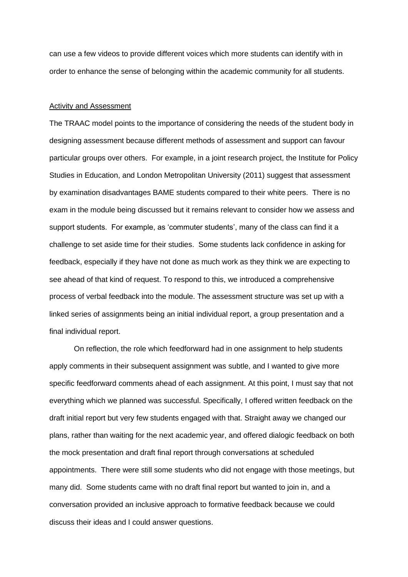can use a few videos to provide different voices which more students can identify with in order to enhance the sense of belonging within the academic community for all students.

#### Activity and Assessment

The TRAAC model points to the importance of considering the needs of the student body in designing assessment because different methods of assessment and support can favour particular groups over others. For example, in a joint research project, the Institute for Policy Studies in Education, and London Metropolitan University (2011) suggest that assessment by examination disadvantages BAME students compared to their white peers. There is no exam in the module being discussed but it remains relevant to consider how we assess and support students. For example, as 'commuter students', many of the class can find it a challenge to set aside time for their studies. Some students lack confidence in asking for feedback, especially if they have not done as much work as they think we are expecting to see ahead of that kind of request. To respond to this, we introduced a comprehensive process of verbal feedback into the module. The assessment structure was set up with a linked series of assignments being an initial individual report, a group presentation and a final individual report.

On reflection, the role which feedforward had in one assignment to help students apply comments in their subsequent assignment was subtle, and I wanted to give more specific feedforward comments ahead of each assignment. At this point, I must say that not everything which we planned was successful. Specifically, I offered written feedback on the draft initial report but very few students engaged with that. Straight away we changed our plans, rather than waiting for the next academic year, and offered dialogic feedback on both the mock presentation and draft final report through conversations at scheduled appointments. There were still some students who did not engage with those meetings, but many did. Some students came with no draft final report but wanted to join in, and a conversation provided an inclusive approach to formative feedback because we could discuss their ideas and I could answer questions.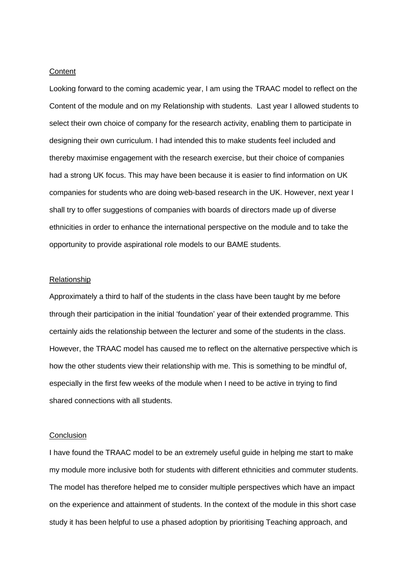# **Content**

Looking forward to the coming academic year, I am using the TRAAC model to reflect on the Content of the module and on my Relationship with students. Last year I allowed students to select their own choice of company for the research activity, enabling them to participate in designing their own curriculum. I had intended this to make students feel included and thereby maximise engagement with the research exercise, but their choice of companies had a strong UK focus. This may have been because it is easier to find information on UK companies for students who are doing web-based research in the UK. However, next year I shall try to offer suggestions of companies with boards of directors made up of diverse ethnicities in order to enhance the international perspective on the module and to take the opportunity to provide aspirational role models to our BAME students.

## **Relationship**

Approximately a third to half of the students in the class have been taught by me before through their participation in the initial 'foundation' year of their extended programme. This certainly aids the relationship between the lecturer and some of the students in the class. However, the TRAAC model has caused me to reflect on the alternative perspective which is how the other students view their relationship with me. This is something to be mindful of, especially in the first few weeks of the module when I need to be active in trying to find shared connections with all students.

# **Conclusion**

I have found the TRAAC model to be an extremely useful guide in helping me start to make my module more inclusive both for students with different ethnicities and commuter students. The model has therefore helped me to consider multiple perspectives which have an impact on the experience and attainment of students. In the context of the module in this short case study it has been helpful to use a phased adoption by prioritising Teaching approach, and